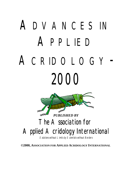# ADVANCES IN APPLIED ACRIDOLOGY - 2000



# The Association for Applied Acridology International

Solutions without Limits by Scientists without Borders

**©2000, ASSOCIATION FOR APPLIED ACRIDOLOGY INTERNATIONAL**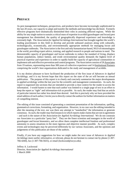# **PREFACE**

As pest management techniques, perspectives, and products have become increasingly sophisticated in the last 20 years, our capacity to adapt and transfer the methods and knowledge has declined. Formerly effective programs have dramatically diminished their roles in assisting afflicted regions. While the ability for any single nation to sustain a critical mass of expertise in acridid (grasshopper and locust) pest management has diminished, the quality of geographically dispersed experience and knowledge is extremely high. The *Association for Applied Acridology International* has brought together the world's leading practitioners in this field to develop and provide unbiased analyses along with culturally, technologically, economically, and environmentally appropriate methods for managing locust and grasshopper outbreaks. The *Association* is the first and only humanitarian-based, NGO of entomologists in the world, providing expert advice, training, and applied research to people and nations in need. The demonstrable capacity of grasshopper and locust outbreaks to reduce the standard of living, displace human populations, induce famine, and erode environmental quality demands the highest level of practical expertise and experience in order to rapidly build the capacity of agricultural communities to implement safe and effective prevention and control programs. The *Association* consists of 26 Associates from 19 nations, representing more than 300 years of collective experience and 14 Institutional Partners comprising the world's best organizations dedicated to the study and management of acridids.

It is my distinct pleasure to have facilitated the production of the first issue of *Advances in Applied Acridology*, and it is my fervent hope that this report on the state of the art will become an annual publication. The purpose of this report is to clearly and concisely summarize the major developments in applied acridology within the last year for the scientific and management communities. As such, the report is organized into sections that are intended to provide a clear context for the reader to access the information. I would hasten to note that each author was limited to a single page of text in an effort to keep the report as "tight" and information-rich as possible. As such, the reader may find that an article of particular interest has rather less detail than desired. And this is precisely why we have provided the email address of each author; I invite you to directly contact the authors for further information on matters of compelling interest.

The editing of this issue consisted of generating a consistent presentation of the information, spelling, grammatical corrections, formatting, and organization. However, in no case was the editing intended to alter the meaning of the text, nor was there any attempt to "standardize" the information or generate consensus. As such, the reader may find instances in which reports make claims that are not in agreement – and such is the nature of the *Association for Applied Acridology International*. We do not constrain our Associates to a particular "party line". They are the finest scientists and managers in the world of grasshopper and locust bionomics, and we allow them complete intellectual freedom and professional autonomy to assess situations in the most rigorous and objective manner possible. As such, complex events and technologies may be perceived differently by our various Associates, and the opinions and judgements of this publication are those of the authors.

Finally, if you have any suggestions for how we might make the next issue of *Advances in Applied Acridology* more useful, informative, or relevant, please do not hesitate to contact me by phone (1-307- 766-4260), fax (1-307-766-5025), or email (lockwood@uwyo.edu).

Jeffrey A. Lockwood Director, *Association for Applied Acridology International* 1 March 2000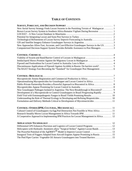# **TABLE OF CONTENTS**

| New Aerial Survey Strategy Finds Locust Swarms in the Punishing Terrain of Madagascar 1  |
|------------------------------------------------------------------------------------------|
| Brown Locust Survey System in Southern Africa Remains Vigilant During Recession  1       |
|                                                                                          |
|                                                                                          |
| Technological Refinements of Locust Survey Improve Forecasting in Australia 2            |
|                                                                                          |
| New Approaches Allow Fast, Accurate, and Cost-Effective Grasshopper Surveys in the US 3  |
| Computerized Decision-Support System Provides Reliable Assistance to Pest Managers 3     |
|                                                                                          |
|                                                                                          |
| Imidacloprid Shows Promise Against the Migratory Locust in Madagascar  4                 |
|                                                                                          |
| Discontinuous Applications of Fipronil Against Acridids in Russia: Do barriers work?     |
| The RAAT Strategy Fast-Becoming the "Standard" for Grasshopper Pest Management 6         |
|                                                                                          |
|                                                                                          |
|                                                                                          |
|                                                                                          |
|                                                                                          |
| New Grasshopper Pathogen Isolated in Argentina: The Next Breakthrough in Biocontrol? 9   |
| Development of a Mycopesticide to Control Grasshoppers in Brazil Progressing Rapidly 9   |
| Field Trial with Entomopathogenic Fungus in Brazil Yields Promising Results  10          |
| Understanding the Role of Thermal Ecology in Developing and Refining Biopesticides 10    |
| Formulation and Delivery Methods Critical to Development of Mycoinsecticides 11          |
|                                                                                          |
| Cultural Control of Grasshoppers via Egg Pod Destruction Not Feasible in West Africa  11 |
|                                                                                          |
| A Cooperative Approach to Implementing IPM Practices for Locust Management in Africa 12  |
|                                                                                          |
| Differential GPS Enhances Precision and Logistics of Locust Control Programs 12          |
| Helicopters with Hydraulic Atomizers allow "Surgical Strikes" Against Locust Bands  13   |
| The Powerful Potential of the AgDRIFT <sup>®</sup> Model to Improve Locust Control 13    |
| Inaugural Tests of Foggers Adapted from Aircraft Engines Appear Promising in Russia 15   |
| The Pied Piper Carrier: Vegetable Oil Attracts Grasshoppers into Treated Barriers  15    |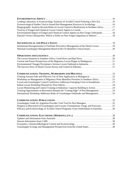| Leading Laboratory in Ecotoxicology Analyses of Acridid Control Entering a New Era 16        |
|----------------------------------------------------------------------------------------------|
| Ecotoxicological Studies Vital to Sound Pest Management Practices in Acridology  16          |
| Biogeographic Analysis Reveals Risks of Locust Control to Biodiversity in Northern Africa 17 |
| Environmental Impact of Fungal and Chemical Control Agents on Non-Target Arthropods 18       |
| Fipronil Versus Chlorpyrifos: Which is Softer on Non-Target Organisms in Siberia? 18         |
|                                                                                              |
| Institutional Reorganization to Facilitate Preventive Management of the Desert Locust 19     |
| National Grasshopper Management Board of the US Identifies Critical Issues 20                |
|                                                                                              |
|                                                                                              |
| Current and Future Perspectives of the Migratory Locust Plague in Madagascar 21              |
|                                                                                              |
|                                                                                              |
|                                                                                              |
|                                                                                              |
| Workshop on Management of Migratory Pests Identifies Priorities in Southern Africa 23        |
| Locust and Grasshopper Control Conference Addresses Emerging Crisis in Kazakhstan 23         |
| Locust Monitoring and Control Training in Indonesia: Capacity Building in Action 24          |
| Training Opportunities in Biocontrol Sharpen the "Cutting Edge" of Pest Management 24        |
| International Workshop Addresses Risks of Grasshopper Outbreaks and Management 25            |
|                                                                                              |
|                                                                                              |
| Progress in Biocontrol of Grasshoppers and Locusts: Formulations, Fungi, and Forecasts 25    |
| Efficacy and Ecotoxicology of Acridid Control Programs: From Antifeedants to Zastchita 26    |
|                                                                                              |
|                                                                                              |
|                                                                                              |
|                                                                                              |
|                                                                                              |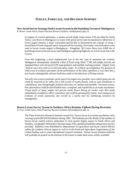# **SURVEY, FORECAST, AND DECISION SUPPORT**

**New Aerial Survey Strategy Finds Locust Swarms in the Punishing Terrain of Madagascar** *R. Brown*, South Africa, Plant Protection Research Institute, rietdb@plant2.agric.za

In support of control operations, a spotter aircraft (high wing Cessna 210) provided by South Africa, was flown to Madagascar to assist with aerial survey and reconnaissance (detection of locust targets remains a major constraint) specifically to demonstrate the concept of using a mixed fleet of fixed wing and rotary wing aircraft for scouting. Previously, only helicopters were used to locate swarm targets in Madagascar. Altogether, 30 h were flown over 8,000 km of punishing terrain on locust survey and intelligence gathering flights by an AAAI Associate in the Cessna.

From this beginning, a more sophisticated 'eye in the sky' type of operation has evolved. Madagascar subsequently chartered a fleet of fixed wing 'Joker' J 300, microlight aircraft and equipped these with advanced GPS map-guidance and satellite tracking systems. Digital zoom cameras were also used to record each spray target. In a follow up assignment, the purpose of which was to evaluate and report on the performance of the Joker operation, it was clear that a previously unimaginable advance had been made in the detection of flying swarms.

Not only was a more systematic aerial search for targets now possible, on to which spray aircraft could be vectored in by radio, but a full record of swarm details, such as type (stratiform or cumuliform), size, flying height, position, direction, *etc*. had become possible. On return to base, this information could be downloaded onto a computer and transferred as an email attachment. Visual proof of spray targets and precise tracks flown during air sorties were thus made immediately available to office controllers and could be permanently stored. Such unequivocal evidence of actual operations also served as a useful tool for mobilizing resources by management.

### **Brown Locust Survey System in Southern Africa Remains Vigilant During Recession**

*R. Price*, South Africa, Plant Protection Research Institute, Rietrep@plant2.agric.za

The Plant Protection Research Institute issued five, brown locust (*Locustana pardalina*) early warning system (BLEWS) bulletins during 1999. The bulletins provide details of the number of brown locust control actions undertaken in each quarter degree square in South Africa and Namibia. Geographic Information Systems maps of the rainfall and ambient temperature are also provided. Bulletins were distributed to Departments of Agriculture and locust control officers within the southern African region as well as to the Food and Agriculture Organization of the United Nations and to some international research institutes. Brown locust situation bulletins will probably be posted on the Internet in the future to make them more widely available.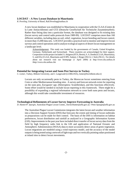### **LOCDAT – A New Locust Database in Mauritania**

*R. Peveling*, University of Basel, Ralf.Peveling@unibas.ch

A new locust database was established in Mauritania in cooperation with the CLAA (Centre de la Lutte Antiacridienne) and GTZ (Deutsche Gesellschaft für Technische Zusammenarbeit). Rather than fitting data into a particular format, the database was designed to fit existing data (locust survey and control radio protocols from 1989-99). LOCDAT comprises more than 160 different variables, including data on soil, relief, vegetation, locust breeding and locust control, in more than 15,000 data sets. LOCDAT provides a practical tool to monitor and improve locust surveys and control operations and to analyze ecological aspects of desert locust management on a landscape level.

Acknowledgement This study was funded by the governments of Canada, United Kingdom, Germany, Netherlands and Switzerland. These countries are acknowledged for their support. Cooperators in this project included: S. Attignon (IITA, Benin), S. A. Demba (CLAA, Mauritania), S. ould Ely (CLAA, Mauritania and ICIPE, Sudan), I. Rieger (NLU), I. Stolz (NLU). For details about our research visit our homepage (1 April 2000) at http://www.nlu.unibas.ch ihttp://www.nlu.unibas.chà

### **Potential for Integrating Locust and Sunn Pest Surveys in Turkey**

*C. Lomer*, Turkey, Bilkent University, and J. Langewald (LUBILOSA), lomer@fen.bilkent.edu.tr)

Locusts are only occasionally pests in Turkey, the Moroccan locust sometimes entering from Crete or other Mediterranean breeding sites. A survey and forecast network exists for reporting on the sunn pest, *Eurygaster spp*. (Heteroptera: Scutelleridae), and this functions effectively. Some effort would be needed to include locust reporting in this framework. There might be a possibility of expanding a regional information network to cover both sunn pests and locusts, although this would take considerable investment of resources.

### **Technological Refinements of Locust Survey Improve Forecasting in Australia**

*D. Hunter/P. Spurgin*, Australian Plague Locust Comm., David.Hunter@affa.gov.au / Peter.Spurgin@affa.gov.au

The Australian Plague Locust Commission integrates the latest locust and weather information into a Decision Support System (DSS) that forecasts the extent and timing of locust outbreaks so preparations can be made for their control. The basis of the DSS is information on habitat preferences, locust distribution and rainfall as analyzed in a Geographic Information System (GIS). Improvements in the past year have included direct transfer of locust survey data from the field by high frequency radio link to the GIS and application of National Oceanic and Atmospheric Administration (NOAA) data to more accurately detect areas of green vegetation. Locust migrations are modeled using a wind trajectory model, and the accuracy of the model outputs is being tested using a network of light traps and two vertically pointing radars positioned at inland sites to detect locust movements.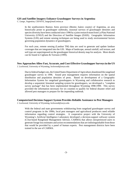### **GIS and Satellite Imagery Enhance Grasshopper Surveys in Argentina**

*C. Lange,* Argentina, CEPAVE, lange@mail.retina.ar

In the southwestern Buenos Aires province (Benito Juárez county) of Argentina, an area historically prone to grasshopper outbreaks, seasonal surveys of grasshopper densities and species diversity have been conducted since 1996 by a joint research team from La Plata National University (UNLP) and the Direction of Satellite Images (DAIS). Geographic Information Systems (GIS) and remote sensing techniques are being used to study environmental factors governing population dynamics of grasshoppers.

For each year, remote sensing (Landsat TM) data are used to generate and update landuse coverages that are integrated into the GIS. Maps of landscape, annual rainfall, soil texture, and soil type are superimposed on the grasshopper historical density map for analysis. More details can be found in Cigliano & Torrusio (1999).

### **New Approaches Allow Fast, Accurate, and Cost-Effective Grasshopper Surveys in the US**

*J. Lockwood*, University of Wyoming, lockwood@uwyo.edu

Due to federal budget cuts, the United States Department of Agriculture abandoned the rangeland grasshopper survey in 1996. Sound pest management requires information on the spatial distribution and population densities of pests. Based on development of a Geographic Information System for rangeland grasshoppers in Wyoming and collaborative research to develop a sequential, binomial sampling system for grasshoppers, we developed a "complete survey package" that has been implemented throughout Wyoming 1998-1999. This survey provided the information necessary for six counties to qualify for federal disaster relief and allowed pest managers to prepare for the impending outbreak.

### **Computerized Decision-Support System Provides Reliable Assistance to Pest Managers**

*J. Lockwood*, University of Wyoming, lockwood@uwyo.edu

With the federal and state governments withdrawing from rangeland grasshopper survey and control programs in the 1990s, local pest managers and agricultural producers need reliable information regarding control strategies. A cooperative project with the University of Wyoming's Artificial Intelligence Laboratory developed a decision-support software system (CAse-based Rangeland Management Advisor, CARMA) that allows inexperienced users to generate forage loss estimates and action recommendations that are indistinguishable from those that would be provided by a panel of human experts. Pest management districts have been trained in the use of CARMA.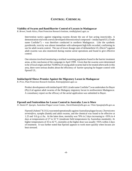# **CONTROL: CHEMICAL**

### **Viability of Swarm and Band/Barrier Control of Locusts in Madagascar**

*R. Brown*, South Africa, Plant Protection Research Institute, rietdb@plant2.agric.za

Intervention tactics against migrating swarms dictate the use of fast acting insecticides. A demonstration trial with a newly developed chloronicotinyl compound -- imidacloprid UL (Trade name Confidor®) -- was therefore conducted in northern Madagascar. Like the synthetic pyrethroids, toxicity was almost immediate with subsequent high kills recorded, confirming its use for adult swarm control. The use of lower dosage rates of deltamethrin UL (Decis<sup>®</sup>) against adult swarms was also monitored during routine aerial operations and found to give effective control.

One mission involved monitoring a residual swarming population found in the barrier treatment areas, at the conclusion of the campaign in April 1999. Given that the swarms were determined to be of local origin and that 70,000 ha of young adult swarms had to be treated afterwards in this area, there were serious doubts about the efficiency of barrier spraying for hopper control with fipronil UL.

### **Imidacloprid Shows Promise Against the Migratory Locust in Madagascar**

*R. Price*, Plant Protection Research Institute, Rietrep@plant2.agric.za

Product development with imidacloprid 10UL (trade name Confidor®) was undertaken for Bayer (Pty) Ltd against adult swarms of the Malagasy migratory locust in northwestern Madagascar. A consultancy report on the efficacy of the aerial application was submitted to Bayer.

### **Fipronil and Fenitrothion for Locust Control in Australia: Less is More**

*D. Hunter/P. Spurgin*, Australian Plague Locust Comm., David.Hunter@affa.gov.au / Peter.Spurgin@affa.gov.au

Fipronil (Adonis® 8.5 UL) was tested operationally against Australian plague locust, *Chortoicetes terminifera*, nymphs (bands) and adult swarms, and the chemical was found to be effective at 1.25 and 0.6 g a.i./ha. At the latter dose, mortality was 70% in 2 days increasing to >95% in 4 days at temperatures of 27 to 32  $\rm{^{\circ}C}$  (moderate field temperatures by Australian standards). At higher temperatures of 35 to 42 °C, mortality at the higher dose was usually >95% within 2 days of treatment. It was further noted that fipronil appears to work more quickly when locusts are heat stressed.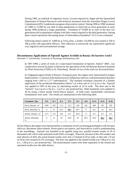During 1996, an outbreak of migratory locust, *Locusta migratoria*, began and the Queensland Department of Natural Resources with technical assistance from the Australian Plague Locust Commission (APLC) undertook a program of preventive control. During 1996 to 1998, treatment of 5,000 to 15,000 ha was able to keep populations in check but an extra generation in early spring 1998 produced a larger population. Treatment of 70,000 ha in each of the next two generations led to population collapse with little control required in the third generation. During these control operations decreasing doses of fenitrothion (Sumithion® ULV) were evaluated.

Following initial control of 4,000 ha at 510 g ai/ha, a further 135,000 ha was treated at 320 to 380 g ai/ha with equivalent efficacy. This reduction in insecticide use represented significant cost, logistical and environmental savings.

### **Discontinuous Applications of Fipronil Against Acridids in Russia: Do barriers work?**

*Alexandre V. Latchininsky,* University of Wyoming, latchini@uwyo.edu

In 1997-1999, a series of trials of a water-based formulation of fipronil, Adonis® 40EC, was conducted in several locations in Russia by the specialists of the All-Russian Research Institute for Plant Protection (VIZR) in St. Petersburg. Results of two of the trials are discussed below.

In Volgograd region (South of Russia's European part), the targets were represented by hopper bands (mostly 1-2 instars) of the Italian locust (*Calliptamus italicus*), with pretreatment densities ranging from 1,045 to 1,177 individuals/m<sup>2</sup>. The standard treatment consisted of a blanket application of the pyrethroid deltamethrin (Decis®) at a dose rate of 12.5 g of a.i./ha. Fipronil was applied to 50% of the area, by alternating swaths of 24 m wide. The dose rate in the "barriers" was 4 g of a.i./ha (*i.e.,* 2 g of a.i. per protected ha). Both treatments were applied to 30 ha using a boom nozzle tractor-drawn sprayer. In both cases, emulsifiable concentrate formulations were used. The results are summarized in the following table.

| <b>Treatment / Day</b>     | $\mathbf{D}$ $\mathbf{0}$ | D <sub>1</sub> | D <sub>2</sub> | D <sub>3</sub> | D <sub>5</sub> | D <sub>8</sub> | D <sub>15</sub> | D 22 | D 28 |
|----------------------------|---------------------------|----------------|----------------|----------------|----------------|----------------|-----------------|------|------|
| Decis, Density / $m^2$     | 1045                      | 345            | 71.3           | 55.3           | 160            | 241            | 490             | 501  | 520  |
| Decis, Mortality, %        | $\Omega$                  | 67             | 93.1           | 94.7           | 84.7           | 77             | 53.1            | 52   | 50.2 |
| Adonis, Density / $m^2$    | 1177                      | 573            | 518            | 417            | 82.8           | 7.7            | 6.9             | 6.3  | 6.3  |
| Adonis, Mortality,<br>$\%$ | $\mathbf{0}$              | 51             | 56             | 64.6           | 93             | 99.3           | 99.4            | 99.5 | 99.5 |

In East Siberia, the targets were represented by a community of non-swarming grasshoppers with *Aeropus sibiricus*, *Bryodema tuberculatum*, *Pararcyptera microptera*, and *Stauroderus scalaris* predominating in the assemblage. Fipronil was intended to be applied using two, parallel treated swaths of 20 m alternated with a 40 m wide untreated swath (50% coverage). However, because of the still weather and total absence of drift, the actual treated swaths were only 13 instead of 20 m wide, so that only 7.8 out of 24 ha were treated (32.5% coverage). The dose rate applied to the treated swaths was 3.08 g of a.i./ha (*i.e*., 1.00 g of a.i. per protected ha). The posttreatment counts were done separately in the treated and untreated swaths (see the table below).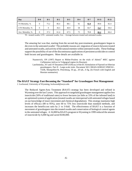| Day               | $\mathbf{D}$ $\mathbf{0}$ | D 1  | D <sub>2</sub> | $\mathbf{D}$ 3 | D <sub>4</sub> | D <sub>7</sub> | D <sub>15</sub> | D <sub>21</sub> |
|-------------------|---------------------------|------|----------------|----------------|----------------|----------------|-----------------|-----------------|
| TS Mortality, %   | $\Omega$                  | 75.2 | 86.4           | 88.1           | 92             | 92.9           | 89.8            | 82.4            |
| UTS Mortality, %  | $\Omega$                  | 0    | 36.3           | 46.9           | 58             | 64.7           | 72.7            | 50.4            |
| Ave. Mortality, % | $\Omega$                  | 37.2 | 61.4           | 67.5           | 75             | 78.8           | 81.2            | 66.4            |

The amazing fact was that, starting from the second day post-treatment, grasshoppers began to die even in the untreated swaths! The probable reasons are: migration of insects between treated and untreated swaths, and activity of the natural enemies within untreated swaths. These findings support the possibility of use of the discontinuous applications of persistent acridicides to control both locusts and grasshoppers. More details are available in:

- Naumovich, ON (1997) Report to Rhône-Poulenc on the trials of Adonis® 40EC against *Calliptamus italicus* in Volgograd region (in Russian);
- Latchininsky, AV and J-F Duranton (1997) Efficacy of the EC formulation of Fipronil on Siberian grasshoppers. Part II - Large-scale trials. Document 565 CIRAD-GERDAT-PRIFAS - VIZR, Montpellier/St. Petersburg, 50 pp., 20 tab., 6 fig. (In French with English and Russian summaries).

### **The RAAT Strategy Fast-Becoming the "Standard" for Grasshopper Pest Management**

*J. Lockwood*, University of Wyoming, lockwood@uwyo.edu

The Reduced Agent-Area Treatment (RAAT) strategy has been developed and refined in Wyoming over the last 5 years. This approach to rangeland grasshopper management applies less insecticide (50% of traditional rates) to fewer hectares (as little as 33% of the infested land) in an optimized system of application (treated swaths are interspersed with untreated refuges based on our knowledge of insect movement and chemical degradation). This strategy maintains high levels of efficacy (80 to 95%), uses 60 to 75% less insecticide than standard methods, and increases the benefit:cost ratio by 2- to 3-fold. The effectiveness of RAAT is a function of movement of grasshoppers into the treated swaths and conservation of biological control agents in the untreated refuges. A 16,000 ha RAATs program in Wyoming in 1999 reduced the amount of insecticide by 6,000 kg and saved \$100,000.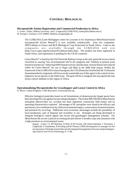# **CONTROL: BIOLOGICAL**

### **Mycopesticide Attains Registration and Commercial Production in Africa**

*C. Lomer*, Turkey, Bilkent University, and J. Langewald (LUBILOSA), lomer@fen.bilkent.edu.tr) *M. Zweigert*, Germany, GTZ GMBH, Matthias.zweigert@gtz.de

The LUBILOSA (Lutte Biologique contre les Locustes et les Sauteriaux) *Metarhizium*-based mycopesticide (Green Muscle®) is now available commercially from two companies: NPP/Calliope in France and BCP (Biological Crop Protection) in South Africa. Links to the companies are available through the LUBILOSA web site (http://www.cgiar.org/iita/research/Lubilosa/index.htm). The product has been registered in South Africa, and registration is pending for the CILSS countries.

Green Muscle® is listed by the FAO Pesticide Referee Group as the only pesticide locust control classified as causing "low environmental risk"in all categories and "unlikely to present acute hazard in normal use" following WHO human toxicity classification. Several donors have placed orders for Green Muscle® for use in Niger and Mali in the 2000 field season. Within the framework of the LUBILOSA research program, the GTZ (Deutsche Gesellschaft für Technische Zusammenarbeit) component will focus on the sustainable use of this agent in the control of nonmigratory locust species in the Sahel zone. The goal will be to integrate this mycopesticide into locust control methods in this region of Africa.

### **Operationalizing Mycopesticides for Grasshopper and Locust Control in Africa**

*D. Moore*, United Kingdom, CABI Bioscience, d.moore@cabi.org

Effective biological pesticides based on oil formulations of deuteromycete fungal spores have been developed for use against locusts and grasshoppers. The isolate IMI 330189 of *Metarhizium anisopliae (flavoviride)* var. *acridum* has been registered, extensively field tested, and its operating characteristics explored. Advantages of *M. anisopliae* were found to be efficacy and persistence, low vertebrate toxicity, little environmental impact, conservation of natural enemies, and potential for recycling. Additional socio-economic advantages include the possibility of local production, ease of disposal and versatility in use. Strategies are being developed to integrate biological control agents into locust and grasshopper management schemes. For *Metarhizium* the accent is placed on treating the pest before it invades crops and situations with a high premium on environmental issues.

Source: Lomer, CJ, RP Bateman, D Dent, H De Groote, OK Douro-Kpindou, C Kooyman, J Langewald, Z Ouambama, R Peveling and M Thomas (1999) Development of strategies for the incorporation of biological pesticides into the integrated management of locusts and grasshoppers. *Agricultural and Forest Entomology* **1**: 71-88.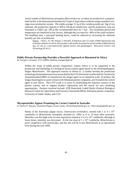Aerial conidia of *Metarhizium anisopliae (flavoviride)* var. *acridum* are produced in a purposebuilt facility at the International Institute for Tropical Agriculture in Benin using a standard, twostage mass-production system. The yields average 31.1g of dry conidia powder per 1kg of rice substrate, the production capacity is 300 to 350 kg of conidia/year, and the production costs are estimated at US\$21 per 100 g (the recommended dose for 1 ha). The incubation period and temperature are identified as key factors, although they account for <40% of the yield variation. The handling time, a principal limiting factor, could be reduced by increasing the substrate quantity per unit of production.

Source: Cherry, AJ, NE Jenkins, G Heviefo, R Bateman and CJ Lomer (1999) Operational and economic analysis of a West African pilot-scale production plant for aerial conidia of *Metarhizium* spp. for use as a mycoinsecticide against locusts and grasshoppers. *Biocontrol Science and Technology* **9**: 36-51.

### **Public-Private Partnership Provides a Powerful Approach to Biocontrol in Africa**

*M. Zweigert*, Germany, GTZ GMBH, Matthias.zweigert@gtz.de

Within the scope of public-private cooperation, eastern Africa is to be supported in the production and marketing of a biological locust-control agent based on the entomopathogenic fungus *Metarhizium*. The approach consists of efforts to: 1) further develop the production technology (fermentation process) researched by the GTZ (Deutsche Gesellschaft für Technische Zusammenarbeit)/BBA to manufacture the fungal agent on an industrial scale, 2) produce the fungus-based agent in a joint venture with Ethiopian partner companies, and 3) market the control agent in east Africa. The GTZ's task is to assist in establishing the requisite contacts in the partner country and to support product registration and the search for new marketing opportunities. Partners involved include: FZB Biotechnik GmbH Berlin (Federal Biological Research Centre for Agriculture and Forestry), Darmstadt (BBA), Ethiopian partner companies, University of Addis Ababa, and GTZ.

### **Mycopesticides Appear Promising for Locust Control in Australia**

*D. Hunter/P. Spurgin*, Australian Plague Locust Comm., David.Hunter@affa.gov.au / Peter.Spurgin@affa.gov.au

Bands of the Australian plague locust, *Chortoicetes terminifera*, treated with 1 to 4 x 1012 conidia/ha of *Metarhizium anisopliae* declined by >90% at 8 to 14 days after treatment. Mortality was also high with *Locusta migratoria* treated at 3 to 4 x 1012 conidia/ha, although at lower doses, mortality was decreased. At the low dose of 1 x 10<sup>12</sup> conidia/ha, *Metarhizium* is price competitive with insecticides, and the aim will be to test *Metarhizium* at an operational level during the year 2000.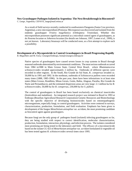### **New Grasshopper Pathogen Isolated in Argentina: The Next Breakthrough in Biocontrol?**

*C. Lange,* Argentina, CEPAVE, lange@mail.retina.ar

As a result of field surveys recently conducted in southwestern Patagonia (Santa Cruz province, Argentina), a new microsporidium (Protozoa: Microspora) was discovered and isolated from the endemic grasshopper *Tristira magellanica* (Orthoptera: Tristiridae). Whether this microsporidium possesses significant potential as a microbial control agent of grasshoppers, as do *Nosema locustae* or *Johenrea locustae* (for details see Johnson, 1997; Lomer *et al.*, 1999), is not yet known. Laboratory bioassays will be conducted soon, as a first attempt to explore such a possibility.

# **Development of a Mycopesticide to Control Grasshoppers in Brazil Progressing Rapidly**

*B. Magalhães* and M. Faria, Cenargen/Embrapa, boni@cenargen.embrapa.br

Native species of grasshoppers have caused severe losses in crop systems in Brazil through seasonal outbreaks determined by environmental conditions. The most serious outbreak occurred from 1984 to1988 in Mato Grosso State, Central West Brazil, where *Rhammatocerus schistocercoides* invaded approximately 2 million ha. Outbreaks of different species were recorded in other regions. In the South, Rio Grande do Sul State, *R.. conspersus* invaded *ca.* 50,000 ha in 1991 and 1992. In the northeast, outbreaks of *Schistocerca pallens* were recorded many times (1888, 1985-1996). In the past year, there have been infestations in at least nine states (Mato Grosso, Rondônia, Minas Gerais, Goiás, Bahia, Alagoas, Paraiba, Rio Grande do Norte and Pernambuco), and the estimated dispersion areas are very large: 2.1 million ha for *R. schistocercoides*, 50,000 ha for *R. conspersus*, 230,000 ha for *S. pallens*.

The control of grasshoppers in Brazil has been based exclusively on chemical insecticides (fenitrothion and malathion). An integrated research project was initiated in Brazil in 1993 at Embrapa (Brazilian Agricultural Research Corporation) Genetic Resources and Biotechnology with the specific objective of developing bioinsecticides based on entomopathogenic microorganisms, especially fungi, to control grasshoppers. Activities were centered in surveys, characterization, production, formulation, and field evaluation. Emphasis has been given to development of the fungus *Metarhizium anisopliae* var. *acridum*, the most promising candidate as biocontrol agent against grasshoppers.

Because fungi are the only group of pathogens found (isolated) infecting grasshoppers so far, they are being studied with respect to correct identification, molecular characterization, production, formulation, interaction, physiology, and infection process. The isolates considered most promising are being tested in the laboratory and field. The efficacy of a mycoinsecticide based on the isolate CG 423 of *Metarhizium anisopliae* var. *acridum* formulated in vegetable oil has been tested against *R. schistocercoides* several times since 1995.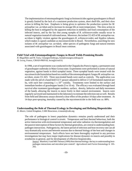The implementation of entomopathogenic fungi as bioinsecticides against grasshoppers in Brazil is greatly limited by the lack of a consistent production system, short shelf-life, and their slow action in killing the host. Emphasis is being given to optimize the production system for *M. anisopliae* var. *acridum* and to increase its storage life at room temperature. The slow action in killing the host is mitigated by the apparent reduction in mobility and food consumption of the infected insects, and by the fact that young nymphs of *R. schistocercoides* usually occur in natural vegetation instead of cultivated areas. Moreover, the isolate CG 423 of *M. anisopliae* var. *acridum* is highly virulent against the grasshoppers *R. schistocercoides* and *Styphra robusta*, which makes it a good candidate as mycoinsecticide in Brazil. Nevertheless, searching for new isolates of *M. anisopliae* var. *acridum*, other species of pathogenic fungi and natural enemies associated with grasshoppers in Brazil must continue.

### **Field Trial with Entomopathogenic Fungus in Brazil Yields Promising Results**

*B. Magalhães* and M. Faria, Cenargen/Embrapa, boni@cenargen.embrapa.br *M. Lecoq*, France, CIRAD-PRIFAS, lecoq@cirad.fr)

> In 1998, a set of experiments was conducted in the Chapada dos Parecis region, a permanent zone of grasshopper outbreaks in Mato Grosso state. Experiments were performed in zones of natural vegetation, against bands in third nymphal instar. Three nymphal bands were treated with the mycoinsecticide formulation based on conidia of the entomopathogenic fungus *M. anisopliae* var. *acridum*, strain CG 423. Three non-treated bands were used as controls. The application was made with the aid of a hand-held ULV sprayer adjusted to deliver 2 l of formulated material per ha, with each liter containing  $1 \times 10^{13}$  conidia. Treatments were limited to the surface and immediate borders of grasshopper bands (5 to 10 m). The efficacy was evaluated through band survival after treatment (grasshopper numbers, surface, density, behavior and daily movement of the band), allowing the insects to move freely in their natural environment. Insects were regularly surveyed and maintained in the laboratory to estimate the infection rate as well. Results from field and laboratory assays showed a clear effect of the product 10 days after treatment. At 14 days post-spraying, mortality caused by the mycoinsecticide in the field was *ca*. 88%.

### **Understanding the Role of Thermal Ecology in Developing and Refining Biopesticides**

*D. Moore*, United Kingdom, CABI Bioscience, d.moore@cabi.org

The role of pathogens in insect population dynamics remains poorly understood and their performance in biological control is erratic. Temperature and host thermal behaviour, both the active interaction with environmental temperature and solar radiation via thermoregulation and the passive interception of these factors by thermal generalists, are central to understanding hostpathogen interactions. Pathogenicity, the latent period of infection and host recovery rate can all vary dramatically across and between seasons due to thermal biology of the host and changes in environmental temperature. Such effects have not been thoroughly explored in any previous investigations but may have major implications for disease dynamics in insects and possibly in ectotherms in general, and for development of effective biopesticides.

Source: Blanford, S and MB Thomas (1999) Host thermal biology: the key to understanding hostpathogen interactions and microbial pest control? *Agricultural and Forest Entomology* **1**: 195- 202.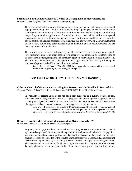### **Formulation and Delivery Methods Critical to Development of Mycoinsecticides**

*D. Moore*, United Kingdom, CABI Bioscience, d.moore@cabi.org

The use of oils has been shown to enhance the efficacy of mycoinsecticides, herbicides and hyperparasitic fungicides. Oils can also enable fungal pathogens to remain active under conditions of low humidity, and thus create opportunities for expanding the (presently limited) range of mycopesticide applications. Formulations of mycoinsecticides in oil present special opportunities when used in ultra-low volume (ULV) applications – and have been proven for acridid control (using aerial conidia of *Metarhizium anisopliae* var. *acridum*). However, for most of the world's agriculture, other nozzles such as hydraulic and air-shear atomizers are the mainstay of pesticide application.

This study focuses on motorized sprayers, capable of achieving good coverage at acceptable (low-medium volume) rates of application. The paper presents some data on the atomisation of oil-based formulations, comparing standard rotary sprayers with various motorized mistblowers. The principles of delivering microbial agents to their target sites are illustrated by estimating the numbers of spores "packed" into each droplet size class.

Source: Bateman, RP and RT Alves (2000) Delivery systems for mycoinsecticides using oil-based formulations. *Aspects of Applied Biology* **57**: (in press).

# **CONTROL: OTHER (IPM, CULTURAL, MECHANICAL)**

**Cultural Control of Grasshoppers via Egg Pod Destruction Not Feasible in West Africa** *C. Lomer*, Turkey, Bilkent University, and J. Langewald (LUBILOSA), lomer@fen.bilkent.edu.tr)

In West Africa, digging up egg pods has often been suggested as a cultural control option. However, careful analysis by the LUBILOSA project of this technology has suggested that for various physical, social and cultural reasons it is not feasible. Further research on the utilization of egg parasitoids as classical biological control agents is recommended in:

Lomer, CJ, RP Bateman, H De Groote, D Dent, C Kooyman, J Langewald, R Peveling and MB Thomas (1999) Development of strategies for the incorporation of microbial pesticides into the integrated management of locusts and grasshoppers. *Agricultural and Forest Entomology* **1**: 71-88.

### **Research Steadily Moves Locust Management in Africa Towards IPM**

*M. Zweigert*, Germany, GTZ GMBH, Matthias.zweigert@gtz.de

Migratory locusts (*e.g,* the desert locust *Schistocerca gregaria*) constitute a permanent threat to agricultural crops in Africa owing to their capacity for virtually unpredictable mass propagation, swarming and transboundary migration. In only a handful of cases can the periodic but irregular plagues of locusts be controlled by the affected farmers themselves. Consequently, locust control measures are implemented by state plant-protection services and supra-regional organizations. These costly control campaigns often have to rely on financial backing from external sources. To date, wide-area control has been conducted almost exclusively with chemical insecticides,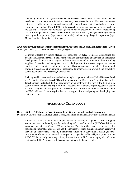which may disrupt the ecosystem and endanger the users' health in the process. Thus, the key to efficient control lies, *inter alia*, in improved early detection techniques. However, since mass outbreaks usually cannot be avoided, ecologically sound locust control methods need to be researched and applied. From 1989 to 1998, research on locust management in Africa has been focused on: 1) inventorying crop losses, 2) developing new prevention and control strategies, 3) preparing biotope maps of selected breeding sites using satellite data, and 4) developing or testing insect growth regulators, (*e.g.*, neem and melia) and entomopathogenic organisms (*e.g., Metharizium*) as alternative control agents.

### **A Cooperative Approach to Implementing IPM Practices for Locust Management in Africa**

*M. Zweigert*, Germany, GTZ GMBH, Matthias.zweigert@gtz.de

Countries affected by locust plagues are supported by GTZ (Deutsche Gesellschaft für Technische Zusammenarbeit) in their monitoring and control efforts and advised on the further development of appropriate strategies. Bilateral emergency aid is provided in the form of: 1) supplies of materials and equipment, and 2) deployment of short-term expert consultants (strategic and economic consultancy services). These consultancies include: 1) training and upgrading measures, 2) preparation of extension, 3) improved early-warning and preventive control techniques, and 4) strategic discussions.

An integrated locust control strategy is developing in cooperation with the United Nations' Food and Agriculture Organization (FAO) within the scope of the Emergency Prevention System for Transboundary Pests (EMPRES), a programme being implemented in the Central Region (*i.e.*, countries in the Red Sea region). EMPRES is focusing on sustainably improving data collection and processing and enhancing communication structures within the countries concerned and with the FAO in Rome. It has also prioritized active support for investigating and developing new control measures.

# **APPLICATION TECHNOLOGY**

### **Differential GPS Enhances Precision and Logistics of Locust Control Programs**

*D. Hunter/P. Spurgin*, Australian Plague Locust Comm., David.Hunter@affa.gov.au / Peter.Spurgin@affa.gov.au

A SATLOC DGPS (Differential Geographic Positioning System) track guidance and data logging system has been purchased by the Australian Plague Locust Commission (APLC) and fitted to a contract spray aircraft (Cessna 185) for evaluation. This aircraft has been used extensively for trials and operational control recently and the increased precision during application has proved the value of such systems especially in featureless terrain where conventional marking of spray runs is very difficult. A procedure for incorporating target data collected by the system into the APLC GIS is currently underway. A requirement for all APLC contract spray aircraft to be equipped with DGPS systems will become mandatory with the next tender.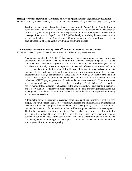### **Helicopters with Hydraulic Atomizers allow "Surgical Strikes" Against Locust Bands**

*D. Hunter/P. Spurgin*, Australian Plague Locust Comm., David.Hunter@affa.gov.au / Peter.Spurgin@affa.gov.au

Treatment of Australian plague locust bands using fipronil (Adonis® 8.5 UL) applied from a helicopter fitted with hydraulic AU7000 Micronair atomizers was evaluated. The maneuverability of this survey & spraying platform and the specialized application equipment allowed direct coverage of bands with a "spot" dose of 2.5 g ai/ha thereby minimizing the area treated within an infested block *e.g.*, 3 to 10 ha within a 100 ha area that otherwise would have received a blanket treatment of 1 g ai/ha if sprayed with a fixed wing aircraft.

# The Powerful Potential of the AgDRIFT<sup>®</sup> Model to Improve Locust Control

*H. Dobson*, United Kingdom, Natural Resource Institute, H.M.Dobson@greenwich.ac.uk)

A computer model called  $AgDRIFT^{\circledR}$  has been developed over a number of years by various organisations in the United States including the Environmental Protection Agency (EPA), the United States Department of Agriculture (USDA) and the Spray Drift Task Force (SDTF). It was developed initially to estimate deposition of materials released from aircraft and more recently to assist with predictions of possible drift events. It is currently used in risk assessments to gauge whether particular pesticide formulations and application regimes are likely to cause problems with off-target contamination. Since ultra low volume (ULV) locust spraying is in effect a drift spraying technique, the model has potential uses in the understanding and refinement of ULV spraying parameters for safer and more effective control. More information and background can be found at the following World Wide Web location: http://www.agdrift.com/agdrift\_web/Agdrift\_intro.htm. The software is currently in version 1 and is freely available (together with support) from Milton Teske (milt@cdiprinceton.com), but a charge will be made for user support in Version 2 (under development, expected June 2000) and subsequent versions.

Although the core of the program is a series of complex calculations, the interface with it is very simple. The parameters such as droplet spectrum, windspeed and emission height are entered and the model will display a graph of downwind deposition (see Figure 1). It can cope with tractor mounted boom-and-nozzle applications, orchard airblast equipment, and aerial spray equipment. The level of interaction is split into three tiers. Tier 1 is a basic level where very few variables are required (or allowed) to be entered; Tier 2 is for more experienced users where many parameters can be changed within certain limits; and Tier 3 where there are no limits to the parameters, but where warning messages appear if parameters are changed outside the normal working range for high volume spraying.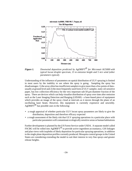

*Figure 1. Downwind deposition predicted by AgDRIFT*<sup><sup>®</sup> for Micronair AU5000 with</sup> *typical locust droplet spectrum, 15 m emission height and 5 m/s wind (other parameters typical).*

Understanding of the influence of parameters on spatial distribution of ULV spraying is limited in most users by the inability to see where the spray is going. Sampling the spray has disadvantages: 1) the array often has insufficient samplers to give more than a few points of data usually at ground level and 2) the most frequently used form of ULV sampler, static oil-sensitive paper, has low collection efficiency for the very important sub-50  $\mu$ m diameter fraction of the spray. There are devices which can help visualise distribution of spray over time after emission such as the Laser Imaging Detection and Ranging (LIDAR) - a laser-based piece of equipment which provides an image of the spray cloud at intervals as it moves through the plane of an oscillating laser beam. However, this equipment is currently expensive and unwieldy. AgDRIFT<sup> $\circledR$ </sup> has possible uses in the following:

- a rough appraisal of whether particular ULV locust spray parameters are likely to give the distribution, deposition and therefore efficacy expected
- a rough assessment of the likely risk that ULV spraying operations in a particular place with particular parameters will contaminate ecologically sensitive areas or human habitations

Further development is planned by the US Forest Service under USDA. A separate model called FSCBG will be rolled into AgDRIFT<sup> $\textcircled{B}$ </sup> to provide active ingredient accountancy, GIS linkages and plan views with isopleths of likely deposition for particular spraying operations, in addition to the single plane deposition profiles currently produced. Mosquito control groups in the United States are considering extending the model to suit their interest in very fine sprays and greater release heights.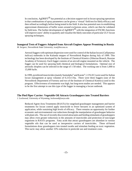In conclusion, AgDRIFT<sup> $\textcircled{B}$ </sup> has potential as a decision support tool in locust spraying operations in that combinations of spray parameters can be given a 'virtual' field test for likely efficacy and then refined accordingly before being tested in the field. It also has potential uses in establishing approximate dimensions of buffer zones around exclusions areas, which can then be validated by field tests. The further development of  $AgDRIFT^{\circledR}$  with the integration of FSCBG functions will improve users' ability to quantify and visualise the likely outcomes of particular ULV locust spraying techniques.

# **Inaugural Tests of Foggers Adapted from Aircraft Engines Appear Promising in Russia**

*M. Sergeev*, Novosibirsk State University, icar@fen.nsu.ru

Aerosol foggers with optimum dispersion were used for control of the Italian locust (*Calliptamus italicus*) outbreaks in the Kulunda steppes of Novosibirsk Region during July of 1999. This technology has been developed by the Institute of Chemical Kinetics (Siberian Branch, Russian Academy of Sciences). Each fogger consists of an aircraft engine mounted on the vehicle. The fogger can be used for spraying both chemical and biological formulations. Optimal size of aerosolic droplets can be selected in the range of 1-50 mkm. The working rate is from 1,000 to 15,000 ha/hr.

In 1999, pyrethroid insecticides (mainly Sumialpha® and Karate®; 2.5% EC) were used for Italian locust management at spray volumes of 0.2-0.4 l/ha. There were three foggers (one of the Novosibirsk Department of Forestry and two of the Institute of Chemical Kinetics) used in this program. Effectiveness of treatments was high, but long-term studies are needed. This appears to be the first attempt to use this type of the fogger in managing a locust outbreak.

### **The Pied Piper Carrier: Vegetable Oil Attracts Grasshoppers into Treated Barriers**

*J. Lockwood*, University of Wyoming, lockwood@uwyo.edu

Reduced Agent-Area Treatments (RAATs) for rangeland grasshopper management and barrier treatments for locust control apply insecticide to fewer hectares in an optimized system of application, while sustaining high levels of efficacy. There remains an opportunity for further economic and environmental cost reductions through the manipulation of grasshopper behavior with plant oils. The use of recently discovered attractants and feeding stimulants of grasshoppers may allow even greater reductions in the amounts of insecticides and protection of non-target organisms in RAATs programs. Fatty acids that attract grasshoppers are abundant in various vegetable oils that can be used as inexpensive carriers of insecticides. These oil-based formulations draw grasshoppers into treated swaths and stimulate feeding on toxic vegetation. This tactic may allow another 33% reduction in pesticide use and treatment costs.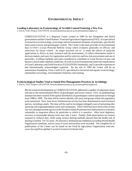### **ENVIRONMENTAL IMPACT**

### **Leading Laboratory in Ecotoxicology of Acridid Control Entering a New Era**

*J. Everts*, FAO, Project LOCUSTOX, locustox@metissacana.sn or locustox@telecomplus.sn

CERES/LOCUSTOX is a Regional Centre created in 1989 by the Senegalese and Dutch governments and the United Nations' Food and Agriculture Organization (FAO). It is specialized in research on ecotoxicology, toxicology and environmental chemistry of pesticides, specifically those used in locust and grasshopper control. The Centre is the main provider of environmental data to FAO's Locust Pesticide Referee Group which evaluates pesticides on efficacy and selectivity for locust control. Its major activities are to: 1) study the effects of pesticide applications in Africa on man, livestock and the environment, 2) collect information useful to decision makers and users for registration and for selective and low risk procurement and use of pesticides, 3) diffuse methods and tools considered to contribute to Good Practice of pest and disease control under sahelian conditions, 4) work in an environment that meets the requirements of Good Laboratory and Field Practices (GLP/GFP/ISO Standards), and 5) provide experienced and internationally acknowledged expertise. By the end of 1999 the Centre will be an autonomous foundation. It has a staff of 25, specialized in terrestrial and aquatic ecotoxicology, mammalian toxicology, environmental chemistry and training.

### **Ecotoxicological Studies Vital to Sound Pest Management Practices in Acridology**

*J. Everts*, FAO, Project LOCUSTOX, locustox@metissacana.sn or locustox@telecomplus.sn

Recent research developments at CERES/LOCUSTOX addressed a number of important issues relevant to the environmental effects of grasshopper and locust control. First, an epidemiology database has been created of the spatial distribution of grasshopper control operations in Senegal from 1988 to 1999. The data will be used to identify risk areas and groups within the population to be monitored. Next, base-level cholinesterase activity has been determined in most livestock species, including camels. The data will be used to investigate (alleged) cases of poisoning after spraying with organophosphate-esters and carbamates. Third, field data have shown that at least one very abundant termite species in the Northern Sahel (*Psammotermes hybostoma*) is extremely vulnerable to long-term effects by pesticides to which it is sensitive. After local depletion, recovery to measurable density level may take 3 years. Finally, field observations on farmers exposed to carbaryl dust, while using various dusting methods showed that the health risk of dusting is limited. Of 135 users, 3% showed a cholinesterase inhibition exceeding World Health Organization standards, and no cases of acute intoxication were recorded. The complete list of publications of the Centre can be found on the Food  $\&$  Agriculture Organization web-site: www.fao.org/News/global/ Locusts/Locustox/Ltoxhome.htm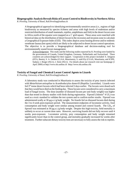### **Biogeographic Analysis Reveals Risks of Locust Control to Biodiversity in Northern Africa**

*R. Peveling*, University of Basel, Ralf.Peveling@unibas.ch

A biogeographical approach to identifying environmentally sensitive areas (*i.e.*, regions of high biodiversity as measured by species richness and areas with high levels of endemism and/or restricted distribution of small mammals, reptiles, amphibians and fish) in the desert locust zone in Africa north of the equator were mapped on a  $1^{\circ}$  grid square. These areas were matched with historical data on the distribution of desert locust in the recession and invasion zone to calculate a Geographical Exposure Index (GEI). This index depicts areas hosting diverse and/or endemic vertebrate faunas (hot spots) which are likely to be subjected to desert locust control operations. The objective is to provide a biogeographical database and decision-making tool for environmentally sound locust management.

Acknowledgement This study and the following studies reported by R. Peveling were funded by the governments of Canada, United Kingdom, Germany, Netherlands and Switzerland. These countries are acknowledged for their support. Cooperators in this project included: S. Attignon (IITA, Benin), S. A. Demba (CLAA, Mauritania), S. ould Ely (CLAA, Mauritania, and ICIPE, Sudan), I. Rieger (NLU), I. Stolz (NLU). For details about our research visit our homepage (1 April 2000) at http://www.nlu.unibas.ch ihttp://www.nlu.unibas.chà

### **Toxicity of Fungal and Chemical Locust Control Agents to Lizards**

*R. Peveling*, University of Basel, Ralf.Peveling@unibas.ch

A laboratory study was conducted in Mauritania to assess the toxicity of prey insects infected with *Metarhizium anisopliae* to *Acanthodactylus dumerili* (Reptilia: Lacertidae). Lizards were fed 3rd instar desert locusts which had been infected 5 days earlier. The locusts were dosed such that they would have died on the feeding day. These locusts were considered to carry a maximum load of fungal toxins. The dose (number of diseased locusts per unit body weight) was higher than that tested in dietary studies with birds during registration. Fipronil (Adonis® 4 UL) was used as a toxic standard to validate the test system and to confirm earlier results. Fipronil was administered orally at 30  $\mu$ g a.i./g body weight. No lizards fed on diseased locusts died during the 3 to 4 week post-exposure period. The measurement endpoints of locomotor activity, food consumption and body weight were similar among treated and control lizards. The  $LD_{50}$  of fipronil was estimated at 30  $\mu$ g a.i./g body weight. Despite this high toxicity, field mortality is unlikely to occur at current dose rates. However, surviving lizards did not fully recover until 4 weeks post-exposure. Locomotor activity, prey consumption and body weight remained significantly lower than in the control group, and mortality gradually increased for weeks after treatment. Further subacute dietary toxicity tests are necessary to fully assess the risk to reptiles.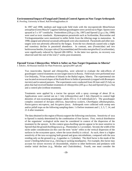### **Environmental Impact of Fungal and Chemical Control Agents on Non-Target Arthropods**

*R. Peveling*, University of Basel, Ralf.Peveling@unibas.ch

In 1997 and 1998, medium and large-scale field trials with the mycopesticide *Metarhizium anisopliae* (Green Muscle®) against Sahelian grasshoppers were carried out in Niger. Spores were sprayed at 5 x  $10^{12}$  conidia/ha. Fenitrothion (220 g a.i./ha, 1997) and fipronil (2 g a.i./ha, 1998) were used as toxic standards. Hymenopteran parasitoids such as Scelionidae, Braconidae and Trichogrammatidae were monitored in millet fields from the tillering stage to maturation. In 1998, epigeal and arboreal savannah arthropods were also monitored. Parasitoids and other nontargets were not adversely affected by the fungus. Even the two chemicals caused only a slight and transitory decline in parasitoid abundance. In contrast, ants (Formicidae) and two herbivorous beetles, *Euryope rubra* (Chrysomelidae) and *Dereodus marginellus* (Cucurlionidae), were significantly reduced by fipronil (80-100%). In the latter two species, no recovery was observed until the end of the trial (7 weeks post-treatment).

### **Fipronil Versus Chlorpyrifos: Which is Softer on Non-Target Organisms in Siberia?**

*I. Sokolov*, All-Russian Institute for Plant Protection, igor@os2897.spb.edu

Two insecticides, fipronil and chlorpyrifos, were selected to evaluate the side-effects of grasshopper control treatments on non-target insects in Russia. Field trials were performed near Ust-Ordynsky, 70 km northeast of Irkutsk in the Baikal region, Siberia. The experimental site was located on terraced slopes of the Kuda River in fields of perennials (cropped with *Bromopsis inermis*) and in natural pastures. The experiments were conducted from 28 June until 25 July on plots that had received blanket treatments of chlorpyrifos (205 g a.i./ha) and fipronil (4 g a.i./ha) and a control plot (without treatment).

Treatments were applied by a tractor fan sprayer with a spray coverage of about 20 m. Applications were carried out on 1 July (chlorpyrifos) and 3 July (fipronil) to control high densities of non-swarming grasshopper adults (9.6 to 11.0 individuals/m<sup>2</sup>). The grasshopper complex consisted of *Aeropus sibiricus*, *Stauroderus scalaris*, *Chorthippus albomarginatus*, *Pararcyptera microptera*, and *Arcyptera fusca*. Arthropods were collected with sweep nets and/or pitfall traps on the following sampling dates: 1 d before treatment and 1, 3, 5, 7, 14, and 21 d after treatment.

The data obtained in this region of Russia support the following conclusions. Sensitivity of taxa to fipronil is mainly determined by the combination of four factors. First, vertical distribution of the organisms' ecological niche must be considered in context of the dispersion of the treatment by the sprayer. In this context grass-dwelling species appear to be more sensitive to fipronil than the ground dwelling taxa (*e.g.*, Thomisidae *vs.* Lycosidae). Second, the width of the niche under consideration (in this case the term "niche" refers to the vertical dispersion of the surfaces in the ecosystem space, where the taxon dwells) is critical. As such, there is a higher sensitivity of the taxa occupying both ground and grass microhabitats, compared with the taxa residing only on the ground (*e.g*., Lygaeidae *vs*. Cydnidae). The third factor is the mode of the taxon's feeding behaviour (*e.g*., chewing or sucking mouthparts). For example, this factor may account for slower recovery of chrysomelids, relative to other herbivores and predators with similar initial declines (*e.g*., Miridae and Chalcidoidea). Fourth, one must consider the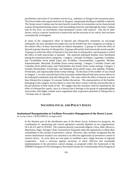peculiarities and extent of locomotor activity (*e.g*., sedentary or flying) in the ecosystem space. This factor leads to the equal sensitivity of the grass- and ground-dwelling cicadellids to fipronil. The former taxon's habitat may be more heavily treated but its locomotion can be characterized as grass-flying (minimizing contact with surrounding surfaces), and although the latter's habitat may be less toxic, its movements create permanent contact with surfaces. The role of other factors, such as a species' sensitivity to insecticide and the structure of its cuticle, have not been systematically investigated.

In terms of the comparative effect of fipronil and chlorpyrifos treatments on non-target arthropods, the most abundant non-target taxa can be divided into four categories according to the relative effect of these insecticides on relative abundance: 1) groups in which the effect of fipronil is greater than that of chlorpyrifos, 2) groups affected by both insecticides nearly equally, 3) groups in which the effect of fipronil is less than that of chlorpyrifos; and 4) groups in which the effect of both insecticides is nominal. The analyzed arthropod families were distributed among the mentioned above categories. Category 1 includes Acrididae, Lygaeidae, Carabidae, and Cicadellidae (from pitfall traps) and Acrididae, Chrysomelidae, Lygaeidae, Miridae, Ichneumonidae, Muscidae, Pyralidae (from sweep netting). Category 2 includes Aranei and Cydnidae (from pitfall traps), and Chalcidoidea and Aranei (from sweep netting). Category 3 includes Dermestidae, Formicidae, and Silphidae (from pitfall traps), and Aphidae, Psillidae, Formicidae, and Agromyzidae (from sweep netting). On the basis of the number of taxa found in category 1, we may conclude that in the ecosystem studied fipronil had more severe effects on the arthropod community than did chlorpyrifos. The cases where the effect of fipronil was less than chlorpyrifos (category 3) warrants further discussion. The representatives of the families belonging to this category are less likely to come into direct contact with the insecticides due to the peculiarities of their mode of life. We suggest that this situation could be explained by the effect of chlorpyrifos vapors, since it is known that it belongs to the group of organophosphate insecticides with highly volatile active ingredients (the evaporative potential of chlorpyrifos is >10-times that of fipronil).

### **SOCIOPOLITICAL AND POLICY ISSUES**

### **Institutional Reorganization to Facilitate Preventive Management of the Desert Locust** *M. Lecoq*, France, CIRAD-PRIFAS, lecoq@cirad.fr

In the Western part of the distribution area of the desert locust, *Schistocerca gregaria*, the coordination of monitoring and control operations currently depends on two organizations: OCLALAV and CLCPANO. The countries directly concerned (Algeria, Libya, Mali, Morocco, Mauritania, Niger, Senegal, Chad, Tunisia) have frequently taken the opportunity to affirm their commitment to the concept of preventive control. However, they recently recognized that the current institutional situation was unsuited to an effective application of preventive control in western Africa. As such, there are now plans to establish a new, single structure of regional cooperation. Such a structure appears necessary to allow effective and sustainable implementation of the preventive control strategy, as proposed within the framework of the EMPRES Program of FAO (Emergency Prevention System for Transboundary Pests Program of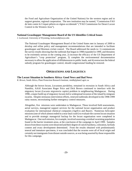the Food and Agriculture Organization of the United Nations) for the western region and to support genuine, regional cooperation. The new institution may be named, "Commission FAO de lutte contre le Criquet pèlerin en région occidentale" ("FAO Commission for Desert Locust Control in the Western Area").

### **National Grasshopper Management Board of the US Identifies Critical Issues**

*J. Lockwood*, University of Wyoming, lockwood@uwyo.edu

The National Grasshopper Management Board of the United States met in January of 2000 to develop and refine policy and management recommendations that are intended to facilitate grasshopper and Mormon cricket control. The Board addressed the needs to: 1) communicate the survey results showing that the outbreak that began in 1998 expanded in 1999, and threatens to be extremely serious in the coming year, 2) increase the efficacy of the US Department of Agriculture's "crop protection" program, 3) complete the environmental documentation necessary to allow the application of diflubenzuron to public lands, and 4) restructure the federal subsidy program for grasshopper control, should congressional funding be restored.

# **OPERATIONS AND LOGISTICS**

### **The Locust Situation in Southern Africa: Good News and Bad News**

*R. Brown*, South Africa, Plant Protection Research Institute, rietdb@plant2.agric.za

Although the brown locust, *Locustana pardalina,* remained in recession in South Africa and Namibia, AAAI Associates Roger Price and Dick Brown continued to interface with the migratory locust (*Locusta migratoria capito*) problem in neighbouring Madagascar. During 1998, a major build-up of migratory locusts led to widespread invasion of the island by emigrant swarms. Despite strenuous intervention efforts, renewed outbreaks developed in the 1998-1999 rainy season, necessitating further emergency control measures.

Altogether, five missions were undertaken to Madagascar. These involved field assessments, aerial surveys, managerial support services for the national locust organisation and product evaluation for international chemical companies (AgrEvo and Bayer). Numerous helicopter missions (one of which almost ended in a near fatal crash!) to evaluate the current locust situation and to provide strategic managerial backup for the locust organisation were completed in Madagascar. One such mission, for example, involved assessing a residual swarming population found in the barrier treatment areas, at the conclusion of the campaign in April 1999. Samples drawn from these swarms were dissected and their degree of cuticle hardness, coloration, fat body content and ovary development determined. From the results obtained with predominantly teneral and immature specimens, it was concluded that the swarms were all of local origin and certainly not immigrants from distant outside sources, as was being asserted by those responsible for this campaign.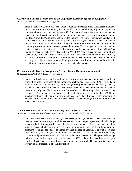### **Current and Future Perspectives of the Migratory Locust Plague in Madagascar**

*M. Lecoq*, France, CIRAD-PRIFAS, lecoq@cirad.fr

Since the early 1990s there has been a gradual population increase of the Madagascar migratory locust, *Locusta migratoria capito*, due to suitable climatic conditions, in particular rain. An outbreak situation was reached in early 1997 and control activities were initiated by the Government with assistance from the donor community and under the overall coordination of the Food and Agriculture Organization of the United Nations. The control strategy was mainly based on the use of barrier treatments with fipronil 7.5 g ai/l against hopper bands and blanket treatments of swarms with deltamethrin 17.5 g ai/l. Farmers were also provided with insecticide powder (propoxur and fenitrothion) to protect their crops. There is a general consensus that the control activities, consisting of 2,954,000 ha protected by barrier treatment and 780,267 ha treated by cover sprays between May 1998 and May 1999, have reduced the locust populations considerably. However, currently the locust situation retains many characteristics of an outbreak, and survey and control activities must be continued over the months and years to come. Medium and long term objectives are to reestablish a preventive control organization, as the scientific basis for such a preventive strategy currently exists in Madagascar.

### **Environmental Changes Precipitate a Serious Locust Outbreak in Indonesia**

*M. Lecoq*, France, CIRAD-PRIFAS, lecoq@cirad.fr

Serious outbreaks of oriental migratory locusts, *Locusta migratoria manilensis*, have been reported on different islands of the Indonesian archipelago since early 1998, especially in southern Sumatra, but also in Java, Kalimantan (Borneo), Sumba, Timor, Sulawesi (Celebes), and Flores. In the long term, the intensive deforestation that has been under way over the last 20 years is certainly partially responsible for these outbreaks. The drought that prevailed in the region in 1997 also seems to be a major recent factor that prompted these outbreaks. In 1999, the situation continued to be serious in several islands, especially in Sumba. By the beginning of January 2000, swarms of millions of locusts were described arriving on Waingapu city in the Eastern part of Sumba.

### **The Success Story of Desert Locust Survey and Control in Pakistan**

*M. Moshin*, Pakistan, Ministry of Food, Agriculture and Livestock, mdm@cyber.net.pk

Pakistan is invaded by the desert locust, *Schistocerca gregaria*, twice a year. The area is arid and in some years above average rainfall is received which encourages vegetation and makes large areas available for oviposition and development of locusts. There are two breeding seasons/zones: Baluchistan province is the winter/spring zone while Sindh and Punjab are the summer breeding zones. There is a small overlapping area of Lasbela. The total area under invasion is 300,000 sq. km, of which 70% is in Baluchistan. At stake are the major field crops, orchards, and plantations worth *ca*. \$9 billion to the nation's economy. The potential damage liable to occur in this region has been estimated at 50% of the global loss through this pest (Bullen, 1969). Hence, the desert locust survey and control work had been a priority job of the workers of the Department of Plant Protection.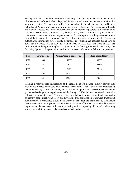The department has a network of outposts adequately staffed and equipped. Sufficient quantity of effective and safe pesticides is kept, and 21 aircraft and >100 vehicles are maintained for survey and control. The survey period is February to May in Baluchistan and June to October in Sindh and Punjab, while year around watch is kept over Lasbela. The assessment of locusts and habitats in recessions and search for swarms and hoppers during outbreaks is undertaken as per "The Desert Locust Guidelines II", Survey (FAO, 1994). Aerial survey is sometimes undertaken to locate swarms and vegetation cover. Locust reports including forecasts are sent fortnightly to national headquarters and FAO Rome through electronic media. During an outbreak, the information flow is nearly instantaneous. Pakistan had upsurges during 1949 to 1962, 1964 to 1965, 1972 to 1976, 1978, 1983, 1989 to 1990, 1993, and 1996 to 1997; the recession period being intermingled. To give an idea of the magnitude of locust activity, the following figures on the population densities and areas of infestation in Pakistan are presented:

| Year | Swarms (No.) | Groups/hopper bands (No.) | Area infested $(km^2)$ |
|------|--------------|---------------------------|------------------------|
| 1978 | 350          | 150000                    | 39000                  |
| 1983 | 96           | 21945                     | 8000                   |
| 1989 | 39           | 2193                      | 5316                   |
| 1993 | 497          | 66254                     | 19000                  |
| 1997 | 441          | 25349                     | 1800                   |

Keeping in view the high vulnerability of the crops, the above mentioned locust activity over such a large infested area would have shattered the economy. Thanks to survey and forecasting that initiated early control campaigns, the swarms and hoppers were successfully controlled by ground and aerial pesticide application mainly through ULV technique. As a result, the entire cultivated area remained safe. These activities have helped to protect the national crop wealth efficiently, economically and safely and have earned the appreciation of growers, traders and administrators. For instance, a gold medal was conferred upon the department by the Karachi Cotton Association for high quality work in 1993. Sustained efforts will continue and for further improvement, the assistance of donors in procuring vehicles, replacing old aircraft, and training workers in satellite imagery analysis and ecological studies is required.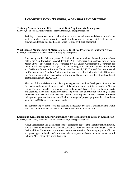# **COMMUNICATIONS: TRAINING, WORKSHOPS AND MEETINGS**

### **Training Assures Safe and Effective Use of Dust Applicators in Madagascar**

*R. Brown*, South Africa, Plant Protection Research Institute, rietdb@plant2.agric.za

Training on the correct use and calibration of certain manually operated dusters in use in the south of Madagascar was given in concert with the control programs. Brief guidelines were drawn up and issued to NGO field operators working with such equipment.

### **Workshop on Management of Migratory Pests Identifies Priorities in Southern Africa**

*R. Price,* Plant Protection Research Institute, Rietrep@plant2.agric.za

A workshop entitled "Migrant pests of Agriculture in southern Africa: Research priorities" was held at the Plant Protection Research Institute (PPRI) in Pretoria, South Africa, from 24 to 26 March 1999. The workshop was sponsored by the British Government's Department for International Development (DFID) Crop Protection Programme and was organized by the PPRI and the Natural Resources Institute, University of Greenwich, UK. The workshop was attended by 65 delegates from 7 southern African countries as well as delegates from the United Kingdom, the Food and Agriculture Organization of the United Nations, and the international red locust control organization (IRLCOSCA).

The aim of the workshop was to identify strategies that could be developed to improve the forecasting and control of locusts, quelea birds and armyworms within the southern African region. The workshop effectively summarized the knowledge base on the relevant migrant pests and described the control strategies currently employed. The priorities for future migrant pest research within the region were identified and the possible uptake pathways assessed. Research linkages and partnerships were identified and a range of project proposals has since been submitted to DFID for possible donor funding.

The summary report of the workshop detailing the research priorities is available on the World Wide Web at http://www.arc.agric.za/lnr/institutes/ppri/migrant/main.htm

**Locust and Grasshopper Control Conference Addresses Emerging Crisis in Kazakhstan** *R. Brown*, South Africa, Plant Protection Research Institute, rietdb@plant2.agric.za

A round table locust and grasshopper control conference between the Plant Protection Institute, Almaty and certain international chemical companies (AgrEvo and Rhône-Poulenc) was held in the Republic of Kazakhstan. In addition to extensive discussion of the emerging crisis of locust and grasshopper outbreaks in Central Asia, a keynote paper delivered on brown locust control in South Africa stimulated much discussion.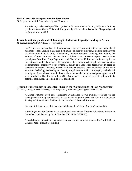### **Italian Locust Workshop Planned for West Siberia**

*M. Sergeev*, Novosibirsk State University, icar@fen.nsu.ru

A special regional workshop will be organized to discuss the Italian locust (*Calliptamus italicus*) problem in West Siberia. This workshop probably will be held in Barnaul or Slavgorod (Altai Region) in March, 2000.

# **Locust Monitoring and Control Training in Indonesia: Capacity Building in Action**

*M. Lecoq*, France, CIRAD-PRIFAS, lecoq@cirad.fr

For 2 years, several islands of the Indonesian Archipelago were subject to serious outbreaks of migratory locust, *Locusta migratoria manilensis*. To face the situation, a training seminar was organized from 12 to 17 July, in Kotabumi, southern Sumatra (Lampung Province) by the Ministry of Agriculture with the contribution of three CIRAD-PRIFAS experts. Twenty-nine participants from Food Crop Department and Plantations of 10 Provinces affected by locust infestations, attended the seminar. The purpose of the seminar was to help Indonesian operators to comprehend migratory locust dynamics, survey and application techniques, in order to overcome outbreaks. Lectures, tutorials and practice sessions were undertaken on the main aspects of the biology and ecology of the migratory locust, as well as on spraying methods and techniques. Some relevant insecticides usually recommended in locust and grasshopper control were introduced. The ultra low volume (ULV) spraying technique was presented, along with its potential applications in context of local conditions.

### **Training Opportunities in Biocontrol Sharpen the "Cutting Edge" of Pest Management**

*C. Lomer*, Turkey, Bilkent University, and J. Langewald (LUBILOSA), lomer@fen.bilkent.edu.tr)

A United Nations' Food and Agriculture Organization (FAO) training workshop on the development of biological pesticides for use against migratory pests was held in Ankara, from 24 May to 3 June 1999 at the Plant Protection Central Research Institute.

For more information, see http://www.fen.bilkent.edu.tr/~lomer/Sunnpw/Sunnpw.html

A training course for African insect pathologists was held at Virginia Polytechnic Institute in December 1999, hosted by Dr. R. Humber (CILSS/FAO/VPI/IIT).

A workshop on biopesticide regulation and registration is being planned for April 2000, in Bamako, Mali. Details are pending.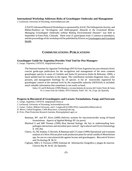### **International Workshop Addresses Risks of Grasshopper Outbreaks and Management**

*J. Lockwood*, University of Wyoming, lockwood@uwyo.edu

A NATO Advanced Research Workshop (co-sponsored by AAAI, The Orthopterists Society, and Rhône-Poulenc) on "*Acridogenic and Anthropogenic Hazards to the Grassland Biome: Managing Grasshopper Outbreaks without Risking Environmental Disaster*" was held in September in Estes Park, Colorado. There were 21 participants from 11 nations in attendance, and the proceedings of the workshop will be published by Kluwer as Grasshoppers and Grassland Health.

### **COMMUNICATIONS: PUBLICATIONS**

### **Grasshopper Guide for Argentina Provides Vital Tool for Pest Managers**

*C. Lange*, Argentina, CEPAVE, lange@mail.retina.ar

The National Institute for Agrarian Technology (INTA) from Argentina has just released a brief, concise guide-type publication for the recognition and management of the most common grasshopper species in areas of Córdoba and Santa Fé provinces (Salto & Beltrame, 1999), a much needed tool for ranchers in the region. The contribution includes diagnostic keys, color pictures, and management briefings for 24 species. A list of insecticides registered for grasshopper control at the national level by the responsible authority (SENASA) is included, much valuable information that sometimes is not easily at hand.

Salto, CE and R Beltrame (1999) Manejo y reconocimiento de tucuras del Centro Oeste de Santa Fe y Centro Este de Códoba. INTA Rafaela, *Pubil. Téc. 59*, 23 pp. (In Spanish).

### **Progress in Biocontrol of Grasshoppers and Locusts: Formulations, Fungi, and Forecasts**

*C. Lange*, Argentina, CEPAVE, lange@mail.retina.ar

- *J. Lockwood*, University of Wyoming, lockwood@uwyo.edu
- *C. Lomer*, Turkey, Bilkent University, and J. Langewald (LUBILOSA), lomer@fen.bilkent.edu.tr)
- *D. Moore*, United Kingdom, CABI Bioscience, d.moore@cabi.org
- *R. Price,* Plant Protection Research Institute, Rietrep@plant2.agric.za
	- Bateman, RP and RT Alves (2000) Delivery systems for mycoinsecticides using oil-based formulations. *Aspects of Applied Biology* **57**: (in press).
	- Blanford S and MB Thomas (1999) Host thermal biology: the key to understanding hostpathogen interactions and microbial pest control? *Agricultural and Forest Entomology* **1**: 195-202.
	- Cherry, AJ, NE Jenkins, G Heviefo, R Bateman and CJ Lomer (1999) Operational and economic analysis of a West African pilot-scale production plant for aerial conidia of *Metarhizium* spp. for use as a mycoinsecticide against locusts and grasshoppers. *Biocontrol Science and Technology* **9**: 36-51.
	- Cigliano, MM y S Torrusio (1999) Sistemas de Información Geográfica y plagas de insectos. *Ciencia Hoy* **9**: 34-42. (In Spanish).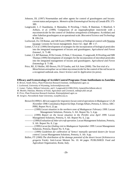- Johnson, DL (1997) Nosematidae and other agents for control of grasshoppers and locusts: current status and prospects. *Memoirs of the Entomological Society of Canada* **171**: 375- 389.
- Langewald, J, Z Ouambama, A Mamadou, R Peveling, I Stolz, R Bateman, S Blanford, S Arthurs, *et al.* (1999). Comparison of an organophosphate insecticide with a mycoinsecticide for the control of *Oedaleus senegalensis* (Orthoptera: Acrididae) and other Sahelian grasshoppers at an operational scale. *Biocontrol Science and Technology* **9**: 199-214.
- Lockwood, JA, CR Bomar, and AB Ewen (1999) The history of biological control with Nosema locustae: Lessons for locust management. *Insect Sci. Appl.* **19**: 1-17.
- Lomer, CJ *et al.* (1999) Development of strategies for the incorporation of biological pesticides into the integrated management of locusts and grasshoppers. *Agricultural and Forest Entomol.,* **1**: 71-88.
- Lomer, CJ, RP Bateman, H De Groote, D Dent, C Kooyman, J Langewald, R Peveling and MB Thomas (1999) Development of strategies for the incorporation of microbial pesticides into the integrated management of locusts and grasshoppers. *Agricultural and Forest Entomology* **1**: 71-88.
- Price, RE, EJ Muller, HD Brown, PA D'Uamba, and AA Jone (2000). The first trial of a *Metarhizium anisopliae* var *acridum* mycoinsecticide for the control of the red locust in a recognised outbreak area. *Insect Science and its Application* (in press).

### **Efficacy and Ecotoxicology of Acridid Control Programs: From Antifeedants to Zastchita**

*R. Brown,* South Africa, Plant Protection Research Institute, rietdb@plant2.agric.za

- *J. Lockwood*, University of Wyoming, lockwood@uwyo.edu
- *C. Lomer*, Turkey, Bilkent University, and J. Langewald (LUBILOSA), lomer@fen.bilkent.edu.tr)
- *M. Moshin*, Pakistan, Ministry of Food, Agriculture and Livestock, mdm@cyber.net.pk
- *R. Price,* Plant Protection Research Institute, Rietrep@plant2.agric.za
- *M. Sergeev*, Novosibirsk State University, icar@fen.nsu.ru
	- Brown D (1999) *S. African support for migratory locust control operations in Madagascar 12-26 November 1998.* Consultancy Report for Dept. Foreign Affairs, Pretoria, S. Africa. ARC-PPRI, Report No.4, 22 pp.
	- ------------ (1999) *Locust situation in the northern zone of Madagascar February 1999*. Locust Management Solutions, Pretoria, S. Afr. Report No. 5, 4 pp.
	- ----------- (1999) *Report on the locust situation in the PLAAG area April 1999*. Locust Management Solutions, Pretoria, S. Afr. Report No. 6, 2 pp.
	- ----------- (1999) *Evaluation of Joker aircraft operation*. Locust Management Solutions, Pretoria, S. Afr. Report No. 8, 2 pp.
	- ------------ (1999) *Locust fact finding visit to Madagascar September 1999*. Locust Management Solutions, Pretoria, Report No. 9, 9 pp.
	- ------------ (1999) *Guidelines for calibration of 'Semco' manually operated dusters for locust control.* Locust Management Solutions, Pretoria, S. Afr. 4 pp.
	- Bullen, FT (1969) *The distribution of the damage potential of the desert locust* (*Schistocerca gregaria* Forsk). Anti-Locust Memoir No. 10. 44 pages. PUBLISHED: Food and Agriculture Organization, Rome, Italy.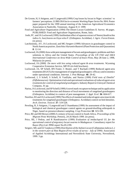- De Groote, H, S Attignon, and J Langewald (1999) Crop losses by locust in Niger: scientists' vs farmers' perceptions. *LUBILOSA Socio-economic Working Paper Series* No. 99/6. Poster paper prepared for the 1999 annual meeting of the American Agricultural Economics Association in Nashville, Tennessee, August 8-11 1999.
- Food and Agriculture Organization (1994) The Desert Locust Guidelines II. Survey. 46 pages. PUBLISHED: Food and Agriculture Organization, Rome, Italy.
- Joshi, PC. and JA Lockwood (1999) Antifeedant effect of aqueous extract of Neem (*Azadirachta indica* A. Juss) leaves on *Oxya velox* F. (Orthoptera: Acrididae). *J. Agric. Forest Entom.* (in press).
- Latchininsky, AV, JA Lockwood, and MG Sergeev (1999) Advances in grasshopper control in North American prairies. *Zastchita i Karantin Rastenii* (Plant Protection and Quarantine) **8**: 12-14.
- Lockwood, JA (2000) Area-wide pest management of locusts and grasshoppers: problems and their solutions in Africa and the United States. *Proceedings of the UN FAO and IAEA International Conference on Area-Wide Control of Insect Pests*, May 28-June 2, 1998, Malaysia (in press).
- Lockwood, JA (2000) *Do more with less using reduced agent & area treatments*. Wyoming Cooperative Extension Service, MP-95 (tri-fold brochure).
- Lockwood, JA, SP Schell, RN Foster, C Reuter, and T Rachadi (1999) Reduced agent-area treatments (RAATs) for management of rangeland grasshoppers: efficacy and economics under operational conditions. *Internat. J. Pest Manage*. **46**: 29-42.
- Lockwood, J, S Schell, S Schell, K VanDyke, and Narisu (1999) *Field tests of Dimilin® (Diflubenzuron): Optimization trials and operational evaluations of reduced agent-area treatments for control of rangeland grasshoppers*. Industry Report to Uniroyal Chemical Company, 41 pp.
- Narisu, JA Lockwood, and SP Schell (1999) A novel mark-recapture technique and its application to monitoring the direction and distance of local movements of rangeland grasshoppers (Orthoptera: Acrididae) in context of pest management. *J. Appl. Ecol.* **36**: 604-617.
- Norelius, EE and JA Lockwood (1999) The effects of standard and reduced agent-area insecticide treatments for rangeland grasshopper (Orthoptera: Acrididae) control on bird densities. *Arch. Environ. Toxicol*. **37**: 519-528.
- Peveling, R, S Attignon, J Langewald and Z Ouambama (1999) An assessment of the impact of biological and chemical grasshopper control agents on ground-dwelling arthropods in Niger, based on presence/absence sampling. *Crop Protection* **18**: 323-339.
- Price, RE and HD Brown (2000) A century of locust control in South Africa. *Proceedings of the Migrant Pests Workshop*, Pretoria, 24-26 March 1999. (in press).
- Price, RE, J Pedras, and R Randrianarivo (1999) *Evaluation of imidacloprid UL for the operational control of migratory locust swarms in Madagascar*. Consultancy report for Bayer (Pty) Ltd. PPRI report No.05:2/99.
- Sergeev, MG and IA Vanjkova (1999) *Distribution of the Italian Locust (*Calliptamus italicus *L.) in the western part of Altai Region (First results of survey - July of 1999)*. Association of Applied Acridology International and Novosibirsk State University, Novosibirsk, 1999. 3 pp.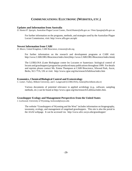# **COMMUNICATIONS: ELECTRONIC (WEBSITES, ETC.)**

### **Updates and Information from Australia**

*D. Hunter/P. Spurgin*, Australian Plague Locust Comm., David.Hunter@affa.gov.au / Peter.Spurgin@affa.gov.au

For further information on the programs, methods, and strategies used by the Australian Plague Locust Commission, visit: http://www.affa.gov.au/aplc

### **Newest Information from CABI**

*D. Moore*, United Kingdom, CABI Bioscience, d.moore@cabi.org

For further information on the research and development programs at CABI visit: http://www.CABI.ORG/Bioscience/index.htm (ihttp://www.CABI.ORG/Bioscience/index.htmà)

The LUBILOSA (Lutte Biologique contre les Locustes et Sauteriaux: biological control of locusts and grasshoppers) program has produced many publications throughout 1999. For details and reprints please contact Ms. Emma Thompson at CABI Bioscience, Silwood Park, Ascot, Berks, SL5 7TA, UK or visit: http://www.cgiar.org/iita/research/lubilosa/index.htm

### **Economics, Chemical/Biological Control and Ecotoxicology**

*C. Lomer*, Turkey, Bilkent University, and J. Langewald (LUBILOSA), lomer@fen.bilkent.edu.tr)

Various documents of potential relevance to applied acridology (*e.g*., software, sampling methods, etc.) can be found at http://www.cgiar.org/iita/research/Lubilosa/index.htm.

### **Grasshopper Ecology and Management Perspectives from the United States**

*J. Lockwood*, University of Wyoming, lockwood@uwyo.edu

The website "Grasshoppers of Wyoming and the West" includes information on biogeography, taxonomy, ecology, and management of rangeland grasshoppers. This site is also the portal to the AAAI webpage. It can be accessed via: http://www.sdvc.uwyo.edu/grasshopper/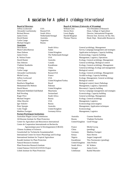# Association for Applied Acridology International

**Board of Directors**<br> **Board of Advisors (University of Wyoming)**<br> **Board of Advisors (University of Wyoming)**<br> **Board of Advisors (University of Wyoming)**<br> **Board of Advisors (University of Wyoming)** Jeffrey Lockwood USA William Gern Vice-President of Research Alexandre Latchininsky Russia/USA Steven Horn Dean, College of Agriculture Carlos Lange Argentina Michael Sergeev Russia **Associates** Dick Brown South Africa General acridology, Management Carlos Lange Argentina Biological control Chris Lomer United Kingdom/Turkey Biological control Michael Sergeev Russia Ecology, General acridology Allan Showler USA Management, Logistics Igor Sokolov Russia Ecotoxicology (non-targets) Colin Tingle United Kingdom Ecotoxicology Matthias Zweigert Germany/Africa Management, Logistics

Richard Brown South Africa Lewis Bagby Director, International Programs James Everts Netherlands/Senegal Harold Bergman Director Inst. Environ. & Nat. Res. David Hunter Australia Thomas Thurow Head, Dept. Renewable Resources

### **Partner/Participant Institutions**

Australian Plague Locust Commission **Australia** Graeme Hamilton All-Russian Institute for Plant Protection Russia Vladimir Pavliushin Centre for Agriculture and Biosciences International United Kingdom Geoff Waage Centre de Cooperation Internationale en Recherche Agronomique pour le Developpement (CIRAD) France Michel Lecoq Chinese Academy of Sciences China (pending) Gesselschaft fur Technische Zusammenarbeit Germany Matthias Zweigert International Centre for Insect Physiology and Ecology Kenya Hans Herren International Institute for Tropical Agriculture Nigeria Migeria Jurgen Langewald Kazakh Institute for Plant Protection Kazakhstan Tleu Nurmuratov (pending) Natural Resources Institute United Kingdom John Perfect Plant Protection Research Institute South Africa M. Walters United Nations FAO/LOCUSTOX Project Senegal James Everts Uzbek Institute for Plant Protection Uzbekistan Rashid Murodov

Munir Gabra Butrous Sudan Survey, Campaign management and strategies Hans Dobson United Kingdom Application techniques, Capacity building James Everts The Netherlands/Senegal Ecotoxicology, Capacity building R. Nelson Foster **ISA** USA Management, Logistics, Operations David Hunter Australia Ecology, General acridology, Management Dan Johnson Canada General acridology, Biological control Vladimir Kambulin Kazakhstan Ecology, General acridology, Management Le Kang China General acridology, Ecology and management Alexandre Latchininsky Russia/USA Ecology, General acridology, Management Michel Lecoq France France Acridid ecology, Capacity building Jeffrey Lockwood USA Ecology, Management, General acridology Bonifacio Magalhaes Brazil Brazil Biological control, Insect Pathology Mohammad Din Mohsin Pakistan Management, Logistics, Operations David Moore United Kingdom Biocontrol, Capacity building Mohamed Abdellahi Ould Babah Mauritania Survey, Campaign management and strategies Ralf Peveling Switzerland Ecotoxicology, Capacity building Roger Price South Africa General acridology, Management Peter Spurgin **Australia** Australia Management, Application techniques